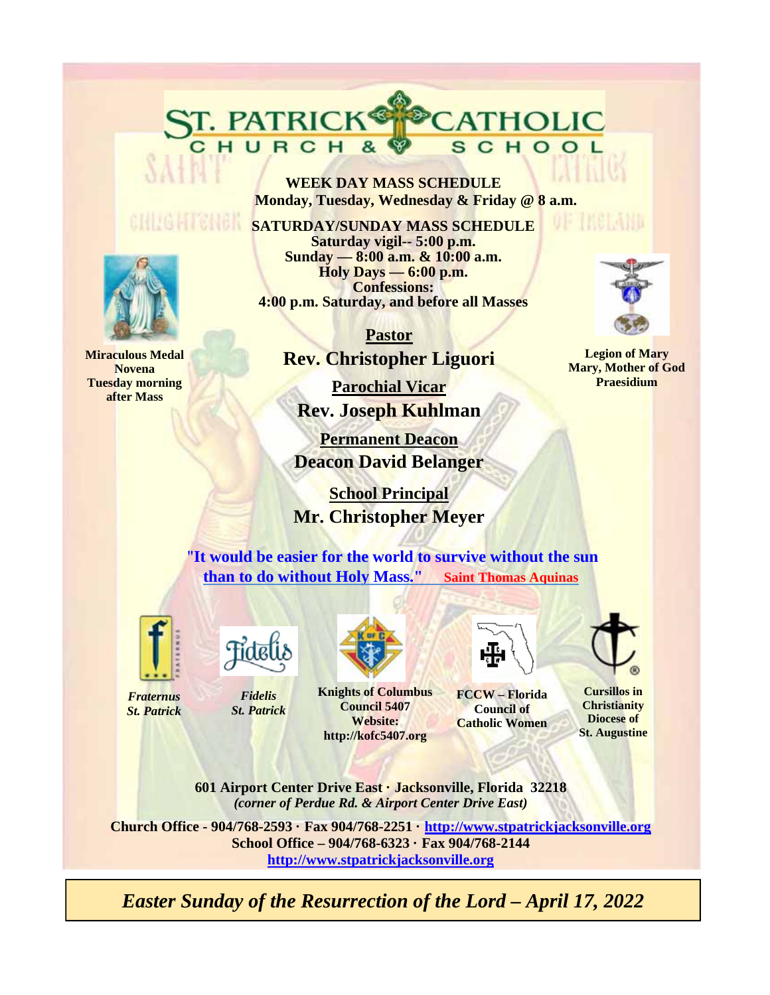**WEEK DAY MASS SCHEDULE Monday, Tuesday, Wednesday & Friday @ 8 a.m.** 

CATHOLIC

SCHOOL

**SATURDAY/SUNDAY MASS SCHEDULE Saturday vigil-- 5:00 p.m. Sunday — 8:00 a.m. & 10:00 a.m. Holy Days — 6:00 p.m. Confessions: 4:00 p.m. Saturday, and before all Masses** 

> **Pastor Rev. Christopher Liguori**

**Parochial Vicar Rev. Joseph Kuhlman** 

**Permanent Deacon Deacon David Belanger** 

 **School Principal Mr. Christopher Meyer**

"**It would be easier for the world to survive without the sun than to do without Holy Mass." Saint Thomas Aquinas**



*Fraternus St. Patrick*



ST. PATRICK®

*Fidelis St. Patrick*

**Knights of Columbus Council 5407 Website:** 



**FCCW – Florida Council of Catholic Women** 

**Cursillos in** 

**Christianity Diocese of St. Augustine** 

**601 Airport Center Drive East · Jacksonville, Florida 32218**  *(corner of Perdue Rd. & Airport Center Drive East)* 

**http://kofc5407.org**

**Church Office - 904/768-2593 · Fax 904/768-2251 · http://www.stpatrickjacksonville.org School Office – 904/768-6323 · Fax 904/768-2144 http://www.stpatrickjacksonville.org**

*Easter Sunday of the Resurrection of the Lord – April 17, 2022* 



**Miraculous Medal Novena Tuesday morning after Mass** 



ne maeroniu

**Legion of Mary Mary, Mother of God Praesidium**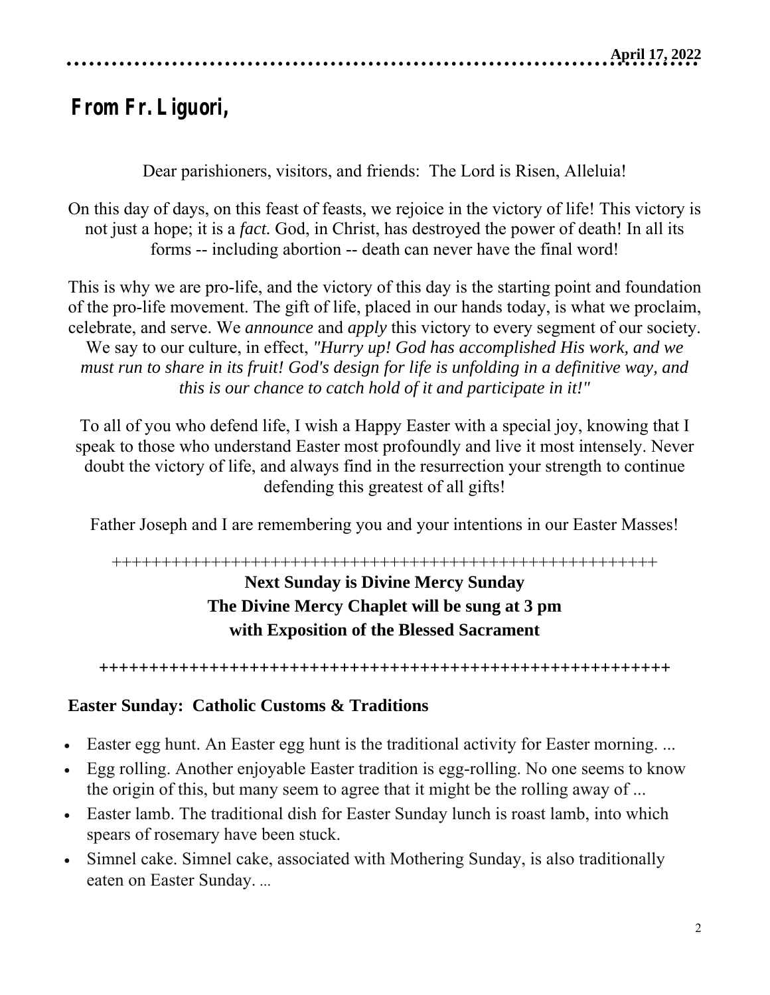# **From Fr. Liguori,**

Dear parishioners, visitors, and friends: The Lord is Risen, Alleluia!

On this day of days, on this feast of feasts, we rejoice in the victory of life! This victory is not just a hope; it is a *fact.* God, in Christ, has destroyed the power of death! In all its forms -- including abortion -- death can never have the final word!

This is why we are pro-life, and the victory of this day is the starting point and foundation of the pro-life movement. The gift of life, placed in our hands today, is what we proclaim, celebrate, and serve. We *announce* and *apply* this victory to every segment of our society. We say to our culture, in effect, *"Hurry up! God has accomplished His work, and we must run to share in its fruit! God's design for life is unfolding in a definitive way, and this is our chance to catch hold of it and participate in it!"*

To all of you who defend life, I wish a Happy Easter with a special joy, knowing that I speak to those who understand Easter most profoundly and live it most intensely. Never doubt the victory of life, and always find in the resurrection your strength to continue defending this greatest of all gifts!

Father Joseph and I are remembering you and your intentions in our Easter Masses!

# +++++++++++++++++++++++++++++++++++++++++++++++++++++++ **Next Sunday is Divine Mercy Sunday The Divine Mercy Chaplet will be sung at 3 pm with Exposition of the Blessed Sacrament**

**+++++++++++++++++++++++++++++++++++++++++++++++++++++++++** 

# **Easter Sunday: Catholic Customs & Traditions**

- Easter egg hunt. An Easter egg hunt is the traditional activity for Easter morning. ...
- Egg rolling. Another enjoyable Easter tradition is egg-rolling. No one seems to know the origin of this, but many seem to agree that it might be the rolling away of ...
- Easter lamb. The traditional dish for Easter Sunday lunch is roast lamb, into which spears of rosemary have been stuck.
- Simnel cake. Simnel cake, associated with Mothering Sunday, is also traditionally eaten on Easter Sunday. ...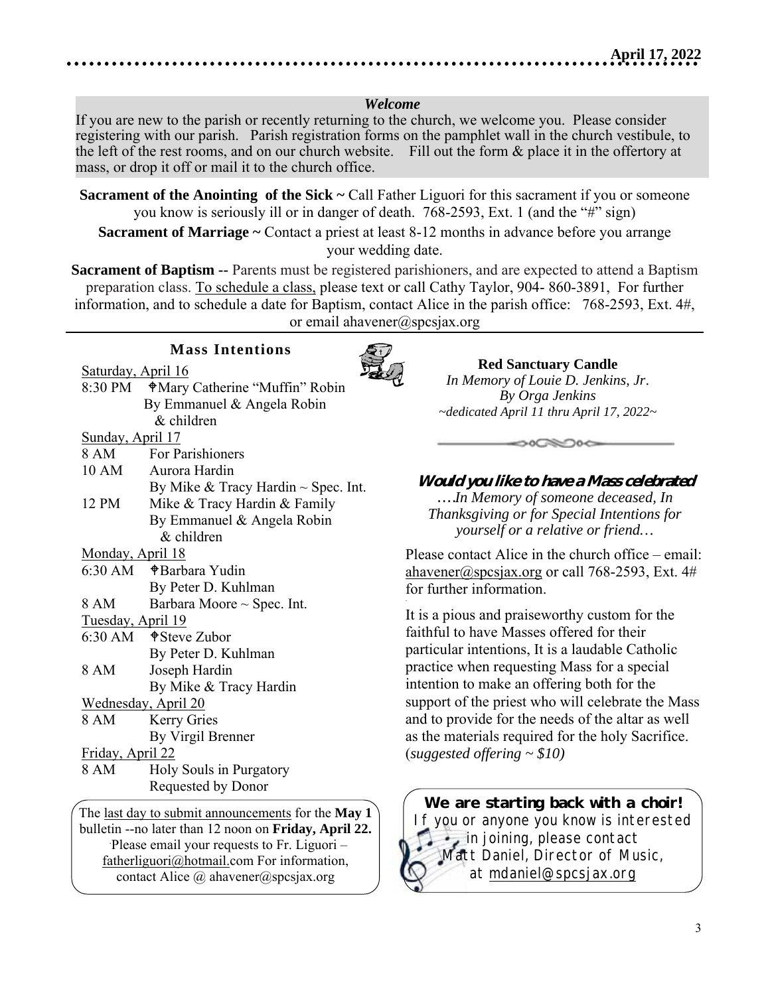#### *Welcome*

If you are new to the parish or recently returning to the church, we welcome you. Please consider registering with our parish. Parish registration forms on the pamphlet wall in the church vestibule, to the left of the rest rooms, and on our church website. Fill out the form & place it in the offertory at mass, or drop it off or mail it to the church office.

**Sacrament of the Anointing of the Sick ~ Call Father Liguori for this sacrament if you or someone** you know is seriously ill or in danger of death. 768-2593, Ext. 1 (and the "#" sign)

**Sacrament of Marriage ~** Contact a priest at least 8-12 months in advance before you arrange your wedding date.

**Sacrament of Baptism --** Parents must be registered parishioners, and are expected to attend a Baptism preparation class. To schedule a class, please text or call Cathy Taylor, 904- 860-3891, For further information, and to schedule a date for Baptism, contact Alice in the parish office: 768-2593, Ext. 4#, or email ahavener@spcsjax.org

*.* 

#### **Mass Intentions**

Saturday, April 16

| $\frac{5404444}{5140}$ |                                          |
|------------------------|------------------------------------------|
| 8:30 PM                | <b>Mary Catherine "Muffin" Robin</b>     |
|                        | By Emmanuel & Angela Robin               |
|                        | & children                               |
| Sunday, April 17       |                                          |
| 8 AM                   | <b>For Parishioners</b>                  |
| 10 AM                  | Aurora Hardin                            |
|                        | By Mike & Tracy Hardin $\sim$ Spec. Int. |
| 12 PM                  | Mike & Tracy Hardin & Family             |
|                        | By Emmanuel & Angela Robin               |
|                        | & children                               |
| Monday, April 18       |                                          |
| 6:30 AM                | ⊕Barbara Yudin                           |
|                        | By Peter D. Kuhlman                      |
| 8 AM                   | Barbara Moore $\sim$ Spec. Int.          |
| Tuesday, April 19      |                                          |
|                        | $6:30$ AM $\bullet$ Steve Zubor          |
|                        | By Peter D. Kuhlman                      |
| 8 AM                   | Joseph Hardin                            |
|                        | By Mike & Tracy Hardin                   |
|                        | Wednesday, April 20                      |
| 8 AM                   | <b>Kerry Gries</b>                       |
|                        | By Virgil Brenner                        |
| Friday, April 22       |                                          |
| 8 AM                   | Holy Souls in Purgatory                  |
|                        | Requested by Donor                       |
|                        |                                          |

The last day to submit announcements for the **May 1** bulletin --no later than 12 noon on **Friday, April 22.** .Please email your requests to Fr. Liguori – fatherliguori@hotmail.com For information, contact Alice  $\omega$  ahavener $\omega$ spcsjax.org

**Red Sanctuary Candle** *In Memory of Louie D. Jenkins, Jr*. *By Orga Jenkins ~dedicated April 11 thru April 17, 2022~* 

**Would you like to have a Mass celebrated** *….In Memory of someone deceased, In Thanksgiving or for Special Intentions for yourself or a relative or friend…*

 $\circ$ 

Please contact Alice in the church office – email: ahavener@spcsjax.org or call 768-2593, Ext.  $4\#$ for further information.

It is a pious and praiseworthy custom for the faithful to have Masses offered for their particular intentions, It is a laudable Catholic practice when requesting Mass for a special intention to make an offering both for the support of the priest who will celebrate the Mass and to provide for the needs of the altar as well as the materials required for the holy Sacrifice. (*suggested offering ~ \$10)*

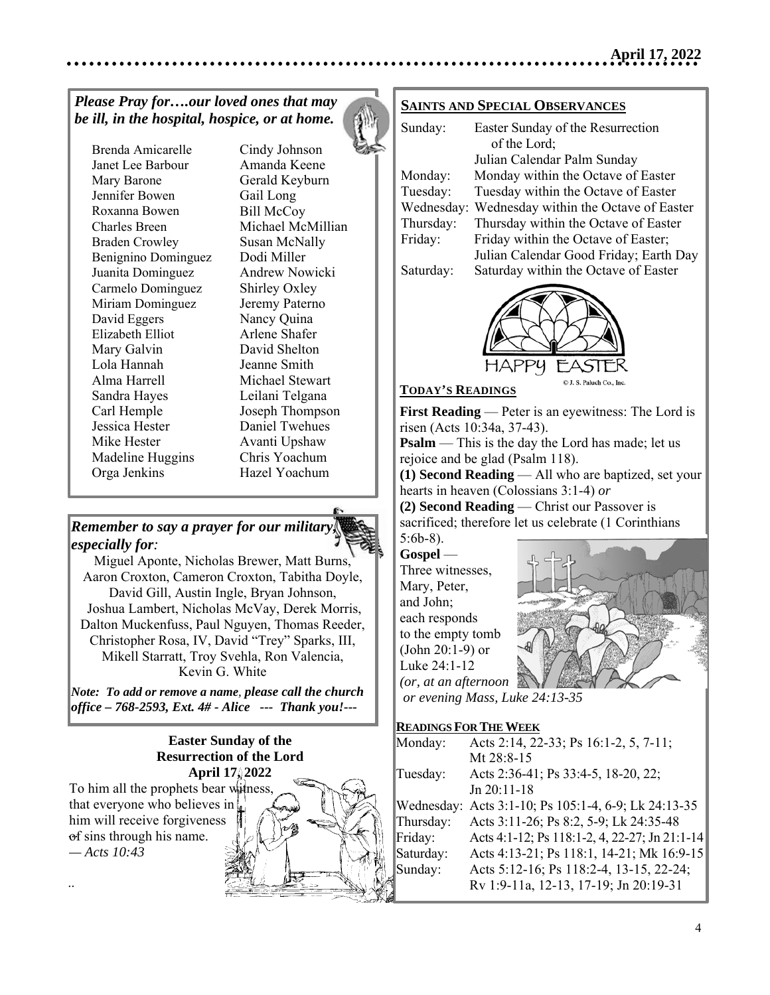# *Please Pray for….our loved ones that may be ill, in the hospital, hospice, or at home.*

Brenda Amicarelle Janet Lee Barbour Mary Barone Jennifer Bowen Roxanna Bowen Charles Breen Braden Crowley Benignino Dominguez Juanita Dominguez Carmelo Dominguez Miriam Dominguez David Eggers Elizabeth Elliot Mary Galvin Lola Hannah Alma Harrell Sandra Hayes Carl Hemple Jessica Hester Mike Hester Madeline Huggins Orga Jenkins

Cindy Johnson Amanda Keene Gerald Keyburn Gail Long Bill McCoy Michael McMillian Susan McNally Dodi Miller Andrew Nowicki Shirley Oxley Jeremy Paterno Nancy Quina Arlene Shafer David Shelton Jeanne Smith Michael Stewart Leilani Telgana Joseph Thompson Daniel Twehues Avanti Upshaw Chris Yoachum Hazel Yoachum

# *Remember to say a prayer for our military, especially for:*

Miguel Aponte, Nicholas Brewer, Matt Burns, Aaron Croxton, Cameron Croxton, Tabitha Doyle, David Gill, Austin Ingle, Bryan Johnson, Joshua Lambert, Nicholas McVay, Derek Morris,  Dalton Muckenfuss, Paul Nguyen, Thomas Reeder, Christopher Rosa, IV, David "Trey" Sparks, III, Mikell Starratt, Troy Svehla, Ron Valencia, Kevin G. White

*Note: To add or remove a name, please call the church office – 768-2593, Ext. 4# - Alice --- Thank you!---*  

> **Easter Sunday of the Resurrection of the Lord April 17, 2022**

**To him all the prophets bear witness,** that everyone who believes in of sins through his name. him will receive forgiveness *— Acts 10:43*

..



#### **SAINTS AND SPECIAL OBSERVANCES**

| Sunday:    | Easter Sunday of the Resurrection      |
|------------|----------------------------------------|
|            | of the Lord;                           |
|            | Julian Calendar Palm Sunday            |
| Monday:    | Monday within the Octave of Easter     |
| Tuesday:   | Tuesday within the Octave of Easter    |
| Wednesday: | Wednesday within the Octave of Easter  |
| Thursday:  | Thursday within the Octave of Easter   |
| Friday:    | Friday within the Octave of Easter;    |
|            | Julian Calendar Good Friday; Earth Day |
| Saturday:  | Saturday within the Octave of Easter   |
|            |                                        |



#### **TODAY'S READINGS**

**First Reading** — Peter is an eyewitness: The Lord is risen (Acts 10:34a, 37-43).

**Psalm** — This is the day the Lord has made; let us rejoice and be glad (Psalm 118).

**(1) Second Reading** — All who are baptized, set your hearts in heaven (Colossians 3:1-4) *or*

**(2) Second Reading** — Christ our Passover is sacrificed; therefore let us celebrate (1 Corinthians 5:6b-8).

**Gospel** — Three witnesses, Mary, Peter, and John; each responds to the empty tomb (John 20:1-9) or Luke 24:1-12 *(or, at an afternoon* 



 *or evening Mass, Luke 24:13-35*

#### **READINGS FOR THE WEEK**

| Monday:   | Acts 2:14, 22-33; Ps 16:1-2, 5, 7-11;                |
|-----------|------------------------------------------------------|
|           | Mt 28:8-15                                           |
| Tuesday:  | Acts 2:36-41; Ps 33:4-5, 18-20, 22;                  |
|           | $Jn 20:11-18$                                        |
|           | Wednesday: Acts 3:1-10; Ps 105:1-4, 6-9; Lk 24:13-35 |
| Thursday: | Acts 3:11-26; Ps 8:2, 5-9; Lk 24:35-48               |
| Friday:   | Acts 4:1-12; Ps 118:1-2, 4, 22-27; Jn 21:1-14        |
| Saturday: | Acts 4:13-21; Ps 118:1, 14-21; Mk 16:9-15            |
| Sunday:   | Acts 5:12-16; Ps 118:2-4, 13-15, 22-24;              |
|           | Rv 1:9-11a, 12-13, 17-19; Jn 20:19-31                |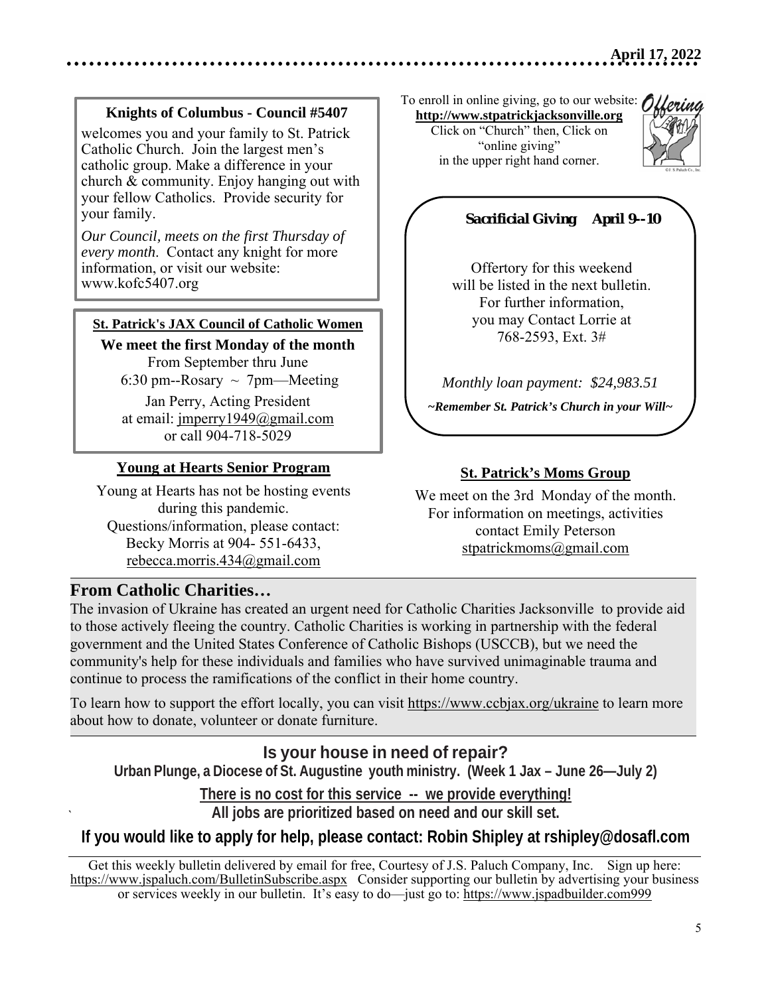## **Knights of Columbus - Council #5407**

welcomes you and your family to St. Patrick Catholic Church. Join the largest men's catholic group. Make a difference in your church & community. Enjoy hanging out with your fellow Catholics. Provide security for your family.

*Our Council, meets on the first Thursday of every month*. Contact any knight for more information, or visit our website: www.kofc5407.org

#### **St. Patrick's JAX Council of Catholic Women**

**We meet the first Monday of the month**  From September thru June 6:30 pm--Rosary  $\sim$  7pm—Meeting

Jan Perry, Acting President at email: jmperry1949@gmail.com or call 904-718-5029

#### **Young at Hearts Senior Program**

Young at Hearts has not be hosting events during this pandemic. Questions/information, please contact: Becky Morris at 904- 551-6433, rebecca.morris.434@gmail.com

# **From Catholic Charities…**

`

The invasion of Ukraine has created an urgent need for Catholic Charities Jacksonville to provide aid to those actively fleeing the country. Catholic Charities is working in partnership with the federal government and the United States Conference of Catholic Bishops (USCCB), but we need the community's help for these individuals and families who have survived unimaginable trauma and continue to process the ramifications of the conflict in their home country.

To learn how to support the effort locally, you can visit https://www.ccbjax.org/ukraine to learn more about how to donate, volunteer or donate furniture.

**Is your house in need of repair? Urban Plunge, a Diocese of St. Augustine youth ministry. (Week 1 Jax – June 26—July 2)** 

**There is no cost for this service -- we provide everything! All jobs are prioritized based on need and our skill set.** 

#### **If you would like to apply for help, please contact: Robin Shipley at rshipley@dosafl.com**

Get this weekly bulletin delivered by email for free, Courtesy of J.S. Paluch Company, Inc. Sign up here: https://www.jspaluch.com/BulletinSubscribe.aspx Consider supporting our bulletin by advertising your business or services weekly in our bulletin. It's easy to do—just go to: https://www.jspadbuilder.com999

To enroll in online giving, go to our website:  $\hat{O}$ **http://www.stpatrickjacksonville.org**

Click on "Church" then, Click on "online giving" in the upper right hand corner.



# *Sacrificial Giving April 9--10*

 Online Giving \$ 5,464.97 Offertory for this weekend will be listed in the next bulletin. For further information, you may Contact Lorrie at 768-2593, Ext. 3#

*Monthly loan payment: \$24,983.51* 

*~Remember St. Patrick's Church in your Will~* 

#### **St. Patrick's Moms Group**

We meet on the 3rd Monday of the month. For information on meetings, activities contact Emily Peterson stpatrickmoms@gmail.com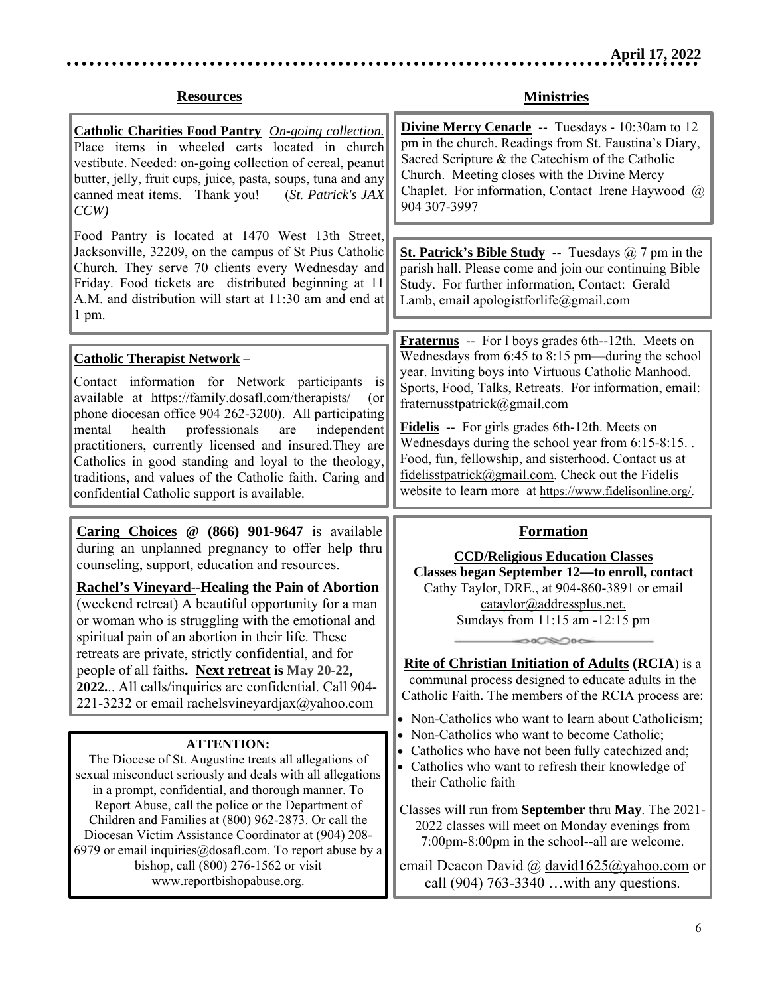# **Resources**

**Ministries** 

| <b>Catholic Charities Food Pantry</b> On-going collection.<br>Place items in wheeled carts located in church<br>vestibute. Needed: on-going collection of cereal, peanut<br>butter, jelly, fruit cups, juice, pasta, soups, tuna and any<br>canned meat items. Thank you!<br>(St. Patrick's JAX<br>CCW<br>Food Pantry is located at 1470 West 13th Street,                                                                                                                                                                                                                                                                 | <b>Divine Mercy Cenacle</b> -- Tuesdays - 10:30am to 12<br>pm in the church. Readings from St. Faustina's Diary,<br>Sacred Scripture & the Catechism of the Catholic<br>Church. Meeting closes with the Divine Mercy<br>Chaplet. For information, Contact Irene Haywood @<br>904 307-3997                                                                                                                                                                                                                                                      |
|----------------------------------------------------------------------------------------------------------------------------------------------------------------------------------------------------------------------------------------------------------------------------------------------------------------------------------------------------------------------------------------------------------------------------------------------------------------------------------------------------------------------------------------------------------------------------------------------------------------------------|------------------------------------------------------------------------------------------------------------------------------------------------------------------------------------------------------------------------------------------------------------------------------------------------------------------------------------------------------------------------------------------------------------------------------------------------------------------------------------------------------------------------------------------------|
| Jacksonville, 32209, on the campus of St Pius Catholic<br>Church. They serve 70 clients every Wednesday and<br>Friday. Food tickets are distributed beginning at 11<br>A.M. and distribution will start at 11:30 am and end at<br>$1$ pm.                                                                                                                                                                                                                                                                                                                                                                                  | <b>St. Patrick's Bible Study</b> -- Tuesdays $@7$ pm in the<br>parish hall. Please come and join our continuing Bible<br>Study. For further information, Contact: Gerald<br>Lamb, email apologistforlife@gmail.com                                                                                                                                                                                                                                                                                                                             |
| <u> Catholic Therapist Network</u> –<br>Contact information for Network participants is<br>available at https://family.dosafl.com/therapists/<br>$($ or<br>phone diocesan office 904 262-3200). All participating<br>health<br>professionals<br>independent<br>mental<br>are<br>practitioners, currently licensed and insured. They are<br>Catholics in good standing and loyal to the theology,<br>traditions, and values of the Catholic faith. Caring and<br>confidential Catholic support is available.                                                                                                                | <b>Fraternus</b> -- For 1 boys grades 6th--12th. Meets on<br>Wednesdays from 6:45 to 8:15 pm—during the school<br>year. Inviting boys into Virtuous Catholic Manhood.<br>Sports, Food, Talks, Retreats. For information, email:<br>fraternusstpatrick@gmail.com<br>Fidelis -- For girls grades 6th-12th. Meets on<br>Wednesdays during the school year from 6:15-8:15<br>Food, fun, fellowship, and sisterhood. Contact us at<br>fidelisstpatrick@gmail.com. Check out the Fidelis<br>website to learn more at https://www.fidelisonline.org/. |
|                                                                                                                                                                                                                                                                                                                                                                                                                                                                                                                                                                                                                            |                                                                                                                                                                                                                                                                                                                                                                                                                                                                                                                                                |
| <b>Caring Choices</b> $\omega$ (866) 901-9647 is available<br>during an unplanned pregnancy to offer help thru<br>counseling, support, education and resources.<br><b>Rachel's Vineyard--Healing the Pain of Abortion</b><br>(weekend retreat) A beautiful opportunity for a man<br>or woman who is struggling with the emotional and<br>spiritual pain of an abortion in their life. These<br>retreats are private, strictly confidential, and for<br>people of all faiths. Next retreat is May 20-22,<br>2022 All calls/inquiries are confidential. Call 904-<br>221-3232 or email rachelsvineyardjax $\omega$ yahoo.com | <b>Formation</b><br><b>CCD/Religious Education Classes</b><br>Classes began September 12-to enroll, contact<br>Cathy Taylor, DRE., at 904-860-3891 or email<br>cataylor@addressplus.net.<br>Sundays from 11:15 am -12:15 pm<br><b>Rite of Christian Initiation of Adults (RCIA)</b> is a<br>communal process designed to educate adults in the<br>Catholic Faith. The members of the RCIA process are:<br>• Non-Catholics who want to learn about Catholicism;                                                                                 |